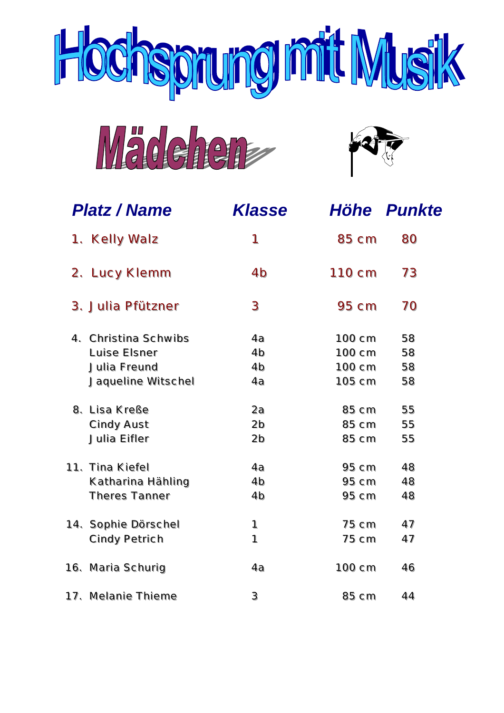





| <b>Platz / Name</b>                                                        | <b>Klasse</b>                                |                                      | Höhe Punkte          |
|----------------------------------------------------------------------------|----------------------------------------------|--------------------------------------|----------------------|
| 1. Kelly Walz                                                              | 1                                            | 85 cm                                | 80                   |
| 2. Lucy Klemm                                                              | 4 <sub>b</sub>                               | 110 cm                               | 73                   |
| 3. Julia Pfützner                                                          | 3                                            | 95 cm                                | 70                   |
| 4. Christina Schwibs<br>Luise Elsner<br>Julia Freund<br>Jaqueline Witschel | 4a<br>4 <sub>b</sub><br>4 <sub>b</sub><br>4a | 100 cm<br>100 cm<br>100 cm<br>105 cm | 58<br>58<br>58<br>58 |
| 8. Lisa Kreße<br>Cindy Aust<br>Julia Eifler                                | 2a<br>2 <sub>b</sub><br>2 <sub>b</sub>       | 85 cm<br>85 cm<br>85 cm              | 55<br>55<br>55       |
| 11. Tina Kiefel<br>Katharina Hahling<br><b>Theres Tanner</b>               | 4a<br>4 <sub>b</sub><br>4 <sub>b</sub>       | $95 \text{ cm}$<br>95 cm<br>$95$ cm  | 48<br>48<br>48       |
| 14. Sophie Dörschel<br><b>Cindy Petrich</b>                                | 1<br>1                                       | 75 cm<br>75 cm                       | 47<br>47             |
| 16. Maria Schurig                                                          | 4a                                           | 100 cm                               | 46                   |
| 17. Melanie Thieme                                                         | 3                                            | 85 cm                                | 44                   |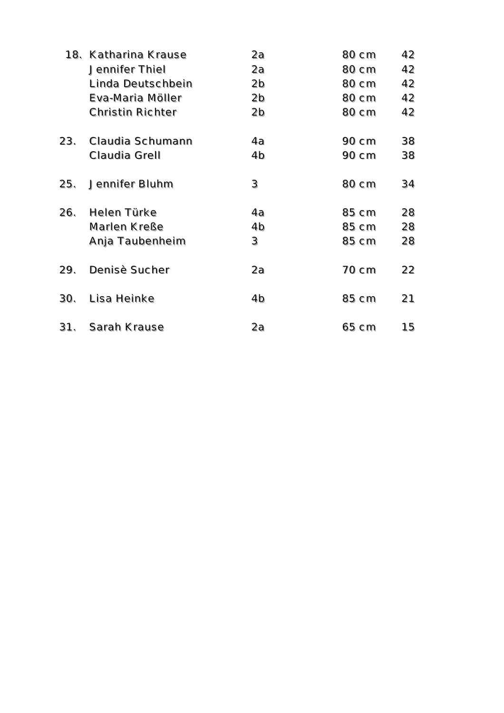| 18. | Katharina Krause        | 2a             | 80 cm | 42 |
|-----|-------------------------|----------------|-------|----|
|     | Jennifer Thiel          | 2a             | 80 cm | 42 |
|     | Linda Deutschbein       | 2 <sub>b</sub> | 80 cm | 42 |
|     | Eva-Maria Möller        | 2 <sub>b</sub> | 80 cm | 42 |
|     | <b>Christin Richter</b> | 2b             | 80 cm | 42 |
| 23. | Claudia Schumann        | 4a             | 90 cm | 38 |
|     | Claudia Grell           | 4 <sub>b</sub> | 90 cm | 38 |
| 25. | Jennifer Bluhm          | 3              | 80 cm | 34 |
| 26. | Helen Türke             | 4a             | 85 cm | 28 |
|     | Marlen Kreße            | 4 <sub>b</sub> | 85 cm | 28 |
|     | Anja Taubenheim         | 3              | 85 cm | 28 |
| 29. | Denisè Sucher           | 2a             | 70 cm | 22 |
| 30. | Lisa Heinke             | 4b             | 85 cm | 21 |
| 31. | Sarah Krause            | 2a             | 65 cm | 15 |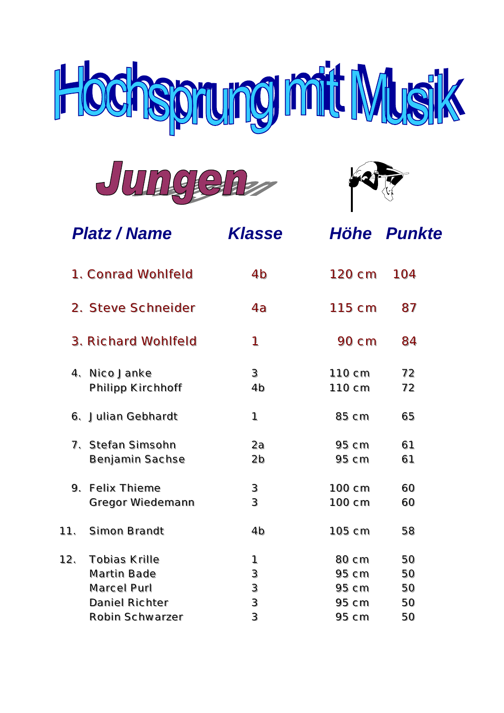





|     | <b>Platz / Name</b>                                | <b>Klasse</b>            |                                     | Höhe Punkte    |
|-----|----------------------------------------------------|--------------------------|-------------------------------------|----------------|
|     | 1. Conrad Wohlfeld                                 | 4b                       | 120 cm                              | 104            |
|     | 2. Steve Schneider                                 | 4a                       | $115$ cm                            | 87             |
|     | 3. Richard Wohlfeld                                | 1                        | 90 cm                               | 84             |
| 4.  | Nico Janke<br>Philipp Kirchhoff                    | 3<br>4 <sub>b</sub>      | 110 cm<br>110 cm                    | 72<br>72       |
|     | 6. Julian Gebhardt                                 | 1                        | 85 cm                               | 65             |
|     | 7. Stefan Simsohn<br>Benjamin Sachse               | 2a<br>2 <sub>b</sub>     | 95 cm<br>$95 \text{ cm}$            | 61<br>61       |
| 9.  | <b>Felix Thieme</b><br>Gregor Wiedemann            | $\mathbf 3$<br>3         | 100 cm<br>100 cm                    | 60<br>60       |
| 11. | Simon Brandt                                       | 4 <sub>b</sub>           | 105 cm                              | 58             |
| 12. | <b>Tobias Krille</b><br>Martin Bade<br>Marcel Purl | 1<br>3<br>$\mathfrak{Z}$ | 80 cm<br>$95$ cm<br>$95 \text{ cm}$ | 50<br>50<br>50 |
|     | Daniel Richter<br>Robin Schwarzer                  | 3<br>3                   | 95 cm<br>95 cm                      | 50<br>50       |